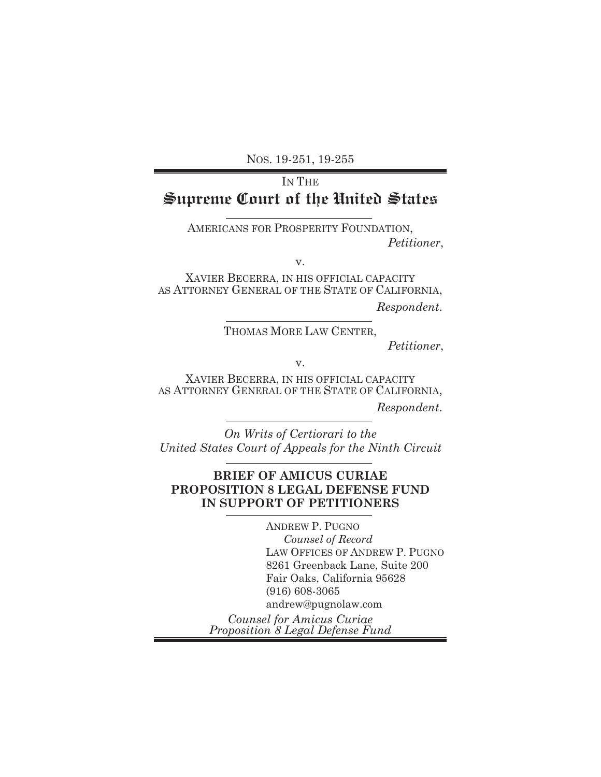NOS. 19-251, 19-255

# IN THE **Supreme Court of the United States**

AMERICANS FOR PROSPERITY FOUNDATION,  *Petitioner*,

v.

XAVIER BECERRA, IN HIS OFFICIAL CAPACITY AS ATTORNEY GENERAL OF THE STATE OF CALIFORNIA,

*Respondent*.

## THOMAS MORE LAW CENTER,

 *Petitioner*,

v.

XAVIER BECERRA, IN HIS OFFICIAL CAPACITY AS ATTORNEY GENERAL OF THE STATE OF CALIFORNIA, *Respondent*.

*On Writs of Certiorari to the United States Court of Appeals for the Ninth Circuit*

### **BRIEF OF AMICUS CURIAE PROPOSITION 8 LEGAL DEFENSE FUND IN SUPPORT OF PETITIONERS**

ANDREW P. PUGNO *Counsel of Record*  LAW OFFICES OF ANDREW P. PUGNO 8261 Greenback Lane, Suite 200 Fair Oaks, California 95628 (916) 608-3065 andrew@pugnolaw.com *Counsel for Amicus Curiae* 

*Proposition 8 Legal Defense Fund*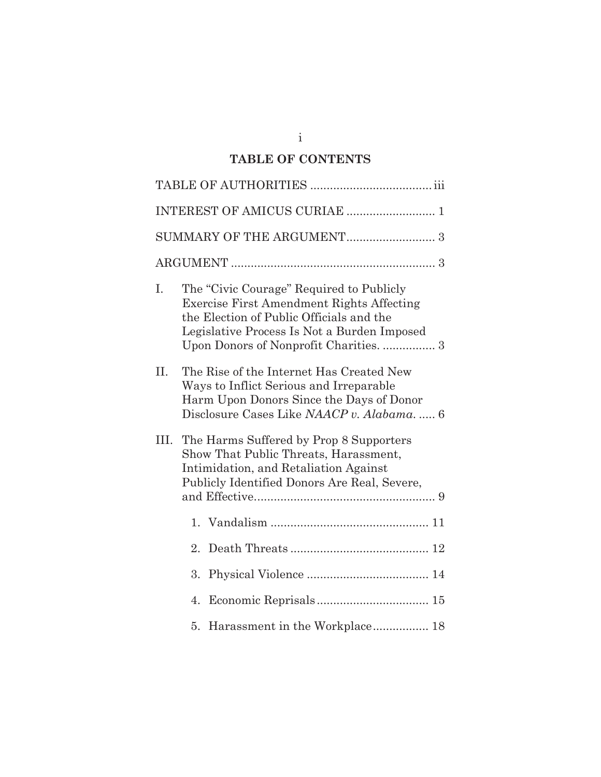## **TABLE OF CONTENTS**

| I.   | The "Civic Courage" Required to Publicly<br><b>Exercise First Amendment Rights Affecting</b><br>the Election of Public Officials and the<br>Legislative Process Is Not a Burden Imposed |  |  |  |  |
|------|-----------------------------------------------------------------------------------------------------------------------------------------------------------------------------------------|--|--|--|--|
| II.  | The Rise of the Internet Has Created New<br>Ways to Inflict Serious and Irreparable<br>Harm Upon Donors Since the Days of Donor<br>Disclosure Cases Like NAACP v. Alabama 6             |  |  |  |  |
| III. | The Harms Suffered by Prop 8 Supporters<br>Show That Public Threats, Harassment,<br>Intimidation, and Retaliation Against<br>Publicly Identified Donors Are Real, Severe,               |  |  |  |  |
|      |                                                                                                                                                                                         |  |  |  |  |
|      | 2.                                                                                                                                                                                      |  |  |  |  |
|      | 3.                                                                                                                                                                                      |  |  |  |  |
|      | 4.                                                                                                                                                                                      |  |  |  |  |
|      |                                                                                                                                                                                         |  |  |  |  |

i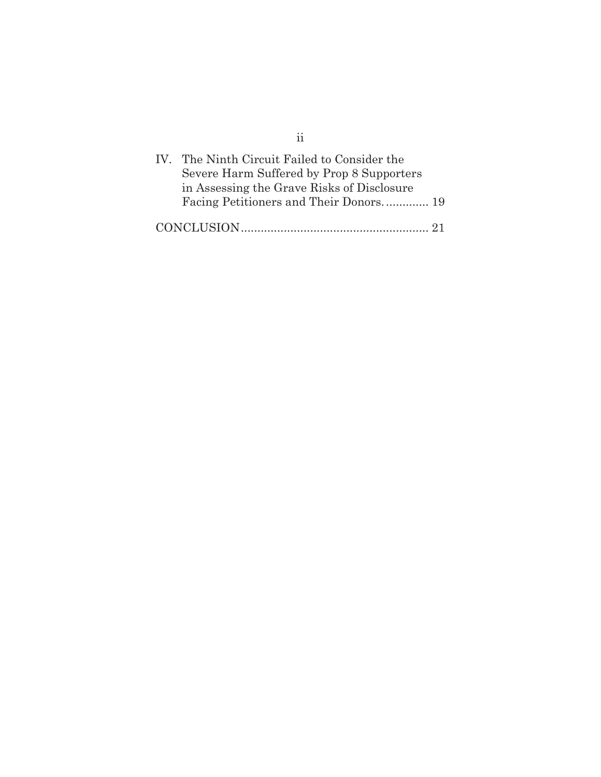| ŤŤ                                                                                                                                                                                |  |
|-----------------------------------------------------------------------------------------------------------------------------------------------------------------------------------|--|
| IV. The Ninth Circuit Failed to Consider the<br>Severe Harm Suffered by Prop 8 Supporters<br>in Assessing the Grave Risks of Disclosure<br>Facing Petitioners and Their Donors 19 |  |
|                                                                                                                                                                                   |  |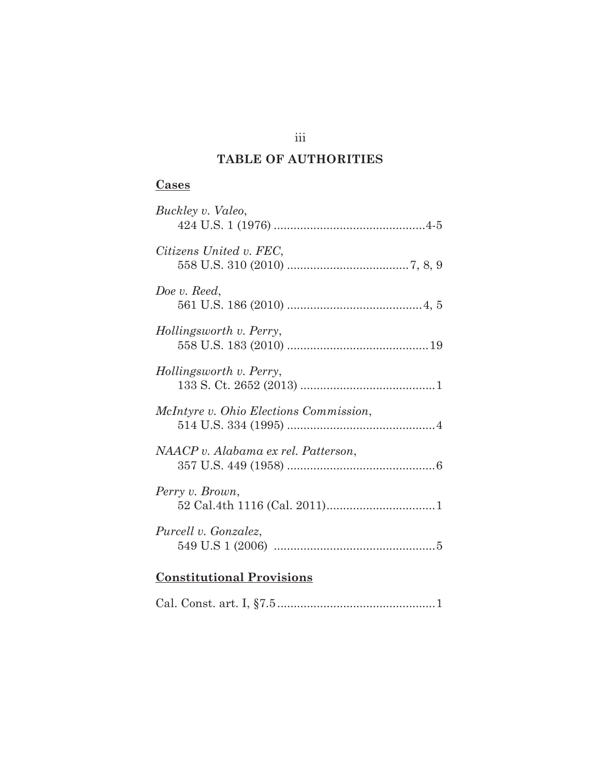## **TABLE OF AUTHORITIES**

## **Cases**

| Buckley v. Valeo,                             |
|-----------------------------------------------|
| Citizens United v. FEC,                       |
| Doe v. Reed.                                  |
| Hollingsworth v. Perry,                       |
| Hollingsworth v. Perry,                       |
| <i>McIntyre v. Ohio Elections Commission,</i> |
| NAACP v. Alabama ex rel. Patterson,           |
| Perry v. Brown,                               |
| Purcell v. Gonzalez,                          |
|                                               |

# **Constitutional Provisions**

iii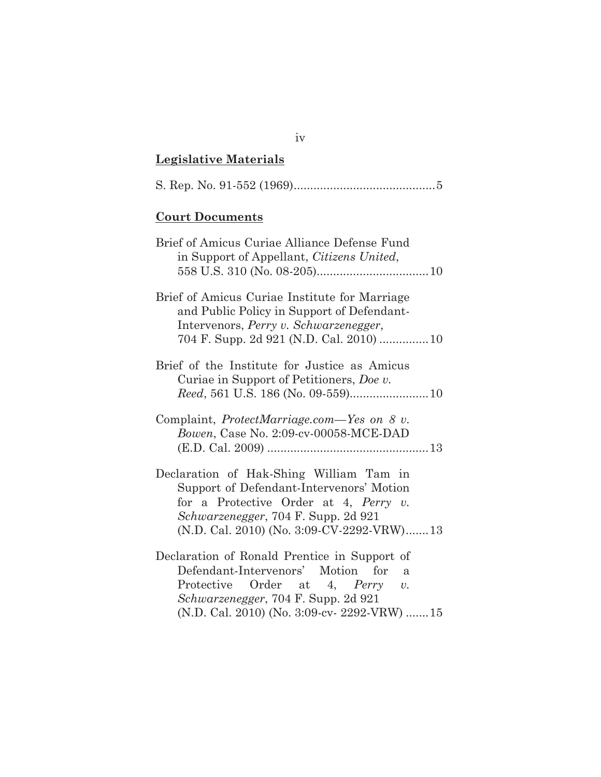## **Legislative Materials**

|--|--|--|--|--|--|

## **Court Documents**

| Brief of Amicus Curiae Alliance Defense Fund<br>in Support of Appellant, Citizens United,                                                                                                                                           |
|-------------------------------------------------------------------------------------------------------------------------------------------------------------------------------------------------------------------------------------|
| Brief of Amicus Curiae Institute for Marriage<br>and Public Policy in Support of Defendant-<br>Intervenors, Perry v. Schwarzenegger,                                                                                                |
| Brief of the Institute for Justice as Amicus<br>Curiae in Support of Petitioners, Doe v.                                                                                                                                            |
| Complaint, <i>ProtectMarriage.com</i> —Yes on 8 v.<br>Bowen, Case No. 2:09-cv-00058-MCE-DAD                                                                                                                                         |
| Declaration of Hak-Shing William Tam in<br>Support of Defendant-Intervenors' Motion<br>for a Protective Order at 4, Perry $v$ .<br><i>Schwarzenegger, 704 F. Supp. 2d 921</i><br>(N.D. Cal. 2010) (No. 3:09-CV-2292-VRW)13          |
| Declaration of Ronald Prentice in Support of<br>Defendant-Intervenors' Motion for<br>a<br>Protective Order at 4, Perry<br>$\upsilon$ .<br><i>Schwarzenegger, 704 F. Supp. 2d 921</i><br>(N.D. Cal. 2010) (No. 3:09-cv- 2292-VRW) 15 |

iv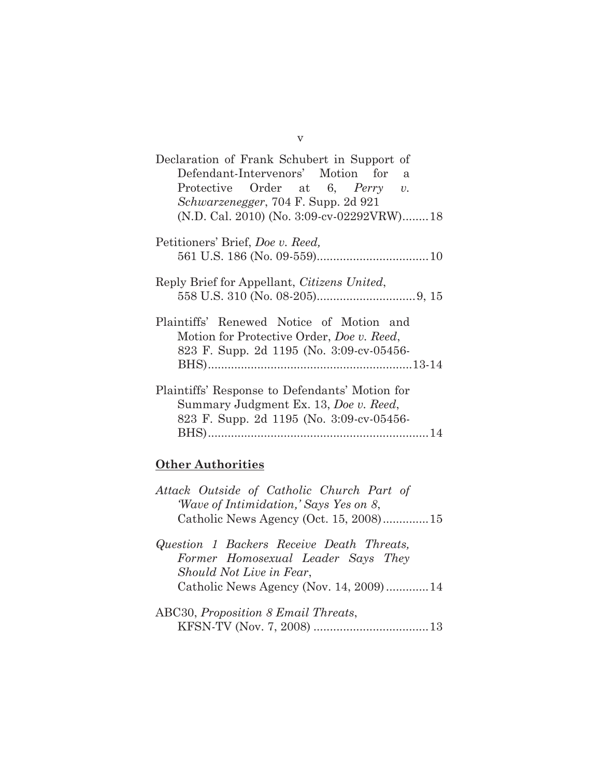| Declaration of Frank Schubert in Support of<br>Defendant-Intervenors' Motion for<br>a<br>Protective Order at 6, Perry v.                  |
|-------------------------------------------------------------------------------------------------------------------------------------------|
| <i>Schwarzenegger</i> , 704 F. Supp. 2d 921<br>(N.D. Cal. 2010) (No. 3:09-cv-02292VRW)18                                                  |
| Petitioners' Brief, Doe v. Reed,                                                                                                          |
| Reply Brief for Appellant, Citizens United,                                                                                               |
| Plaintiffs' Renewed Notice of Motion and<br>Motion for Protective Order, <i>Doe v. Reed</i> ,<br>823 F. Supp. 2d 1195 (No. 3:09-cv-05456- |
| Plaintiffs' Response to Defendants' Motion for<br>Summary Judgment Ex. 13, Doe v. Reed,<br>823 F. Supp. 2d 1195 (No. 3:09-cv-05456-       |

## **Other Authorities**

| Attack Outside of Catholic Church Part of   |  |  |  |
|---------------------------------------------|--|--|--|
| <i>Wave of Intimidation, Says Yes on 8,</i> |  |  |  |
|                                             |  |  |  |

- *Question 1 Backers Receive Death Threats, Former Homosexual Leader Says They Should Not Live in Fear*, Catholic News Agency (Nov. 14, 2009) ............. 14
- ABC30, *Proposition 8 Email Threats*, KFSN-TV (Nov. 7, 2008) ................................... 13

v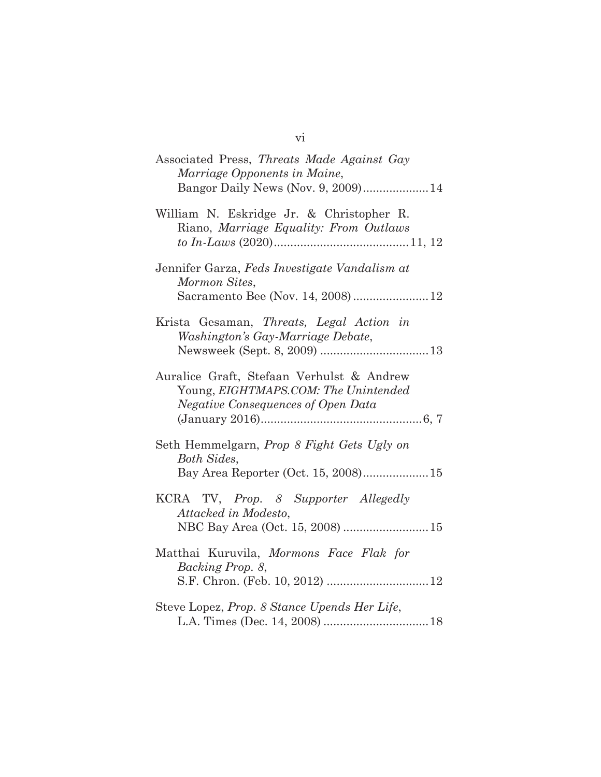| Associated Press, Threats Made Against Gay<br>Marriage Opponents in Maine,<br>Bangor Daily News (Nov. 9, 2009) 14       |
|-------------------------------------------------------------------------------------------------------------------------|
| William N. Eskridge Jr. & Christopher R.<br>Riano, Marriage Equality: From Outlaws                                      |
| Jennifer Garza, Feds Investigate Vandalism at<br>Mormon Sites,<br>Sacramento Bee (Nov. 14, 2008)12                      |
| Krista Gesaman, Threats, Legal Action in<br>Washington's Gay-Marriage Debate,                                           |
| Auralice Graft, Stefaan Verhulst & Andrew<br>Young, EIGHTMAPS.COM: The Unintended<br>Negative Consequences of Open Data |
| Seth Hemmelgarn, Prop 8 Fight Gets Ugly on<br><b>Both Sides,</b><br>Bay Area Reporter (Oct. 15, 2008)15                 |
| KCRA TV, Prop. 8 Supporter Allegedly<br>Attacked in Modesto,<br>NBC Bay Area (Oct. 15, 2008) 15                         |
| Matthai Kuruvila, Mormons Face Flak for<br>Backing Prop. 8,<br>S.F. Chron. (Feb. 10, 2012)  12                          |
| Steve Lopez, Prop. 8 Stance Upends Her Life,                                                                            |

vi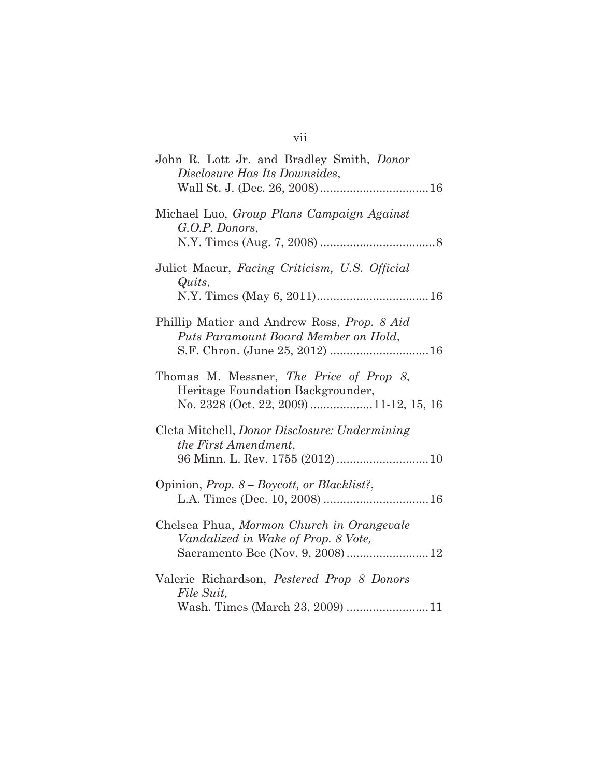| John R. Lott Jr. and Bradley Smith, Donor<br>Disclosure Has Its Downsides,                                             |
|------------------------------------------------------------------------------------------------------------------------|
| Michael Luo, Group Plans Campaign Against<br>G.O.P. Donors,                                                            |
| Juliet Macur, Facing Criticism, U.S. Official<br>Quits,                                                                |
| Phillip Matier and Andrew Ross, Prop. 8 Aid<br>Puts Paramount Board Member on Hold,                                    |
| Thomas M. Messner, The Price of Prop 8,<br>Heritage Foundation Backgrounder,<br>No. 2328 (Oct. 22, 2009) 11-12, 15, 16 |
| Cleta Mitchell, <i>Donor Disclosure: Undermining</i><br>the First Amendment,                                           |
| Opinion, <i>Prop.</i> 8 – Boycott, or Blacklist?,                                                                      |
| Chelsea Phua, Mormon Church in Orangevale<br>Vandalized in Wake of Prop. 8 Vote,<br>Sacramento Bee (Nov. 9, 2008)12    |
| Valerie Richardson, Pestered Prop 8 Donors<br>File Suit.<br>Wash. Times (March 23, 2009) 11                            |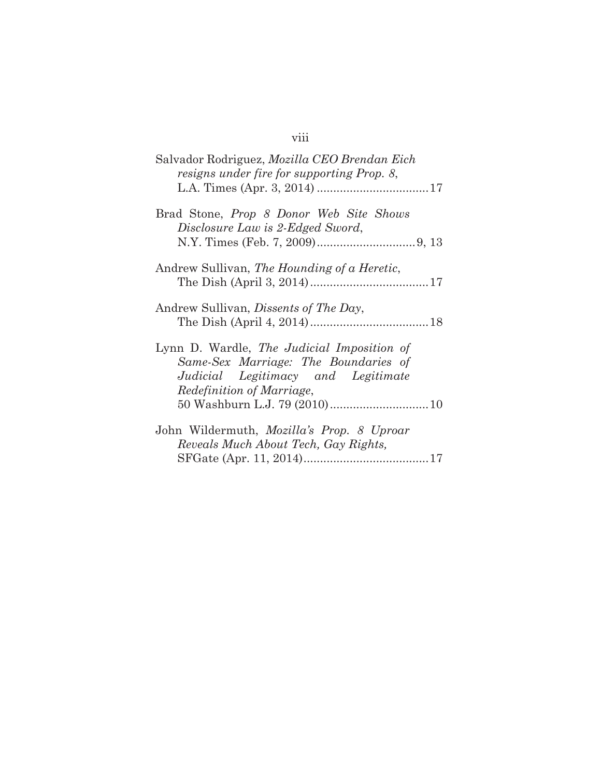# viii

| Salvador Rodriguez, <i>Mozilla CEO Brendan Eich</i><br>resigns under fire for supporting Prop. 8,                                                            |
|--------------------------------------------------------------------------------------------------------------------------------------------------------------|
| Brad Stone, <i>Prop 8 Donor Web Site Shows</i><br>Disclosure Law is 2-Edged Sword,                                                                           |
| Andrew Sullivan, The Hounding of a Heretic,                                                                                                                  |
| Andrew Sullivan, <i>Dissents of The Day</i> ,                                                                                                                |
| Lynn D. Wardle, The Judicial Imposition of<br>Same-Sex Marriage: The Boundaries of<br>Judicial Legitimacy and Legitimate<br><i>Redefinition of Marriage,</i> |
| John Wildermuth, Mozilla's Prop. 8 Uproar<br>Reveals Much About Tech, Gay Rights,                                                                            |
|                                                                                                                                                              |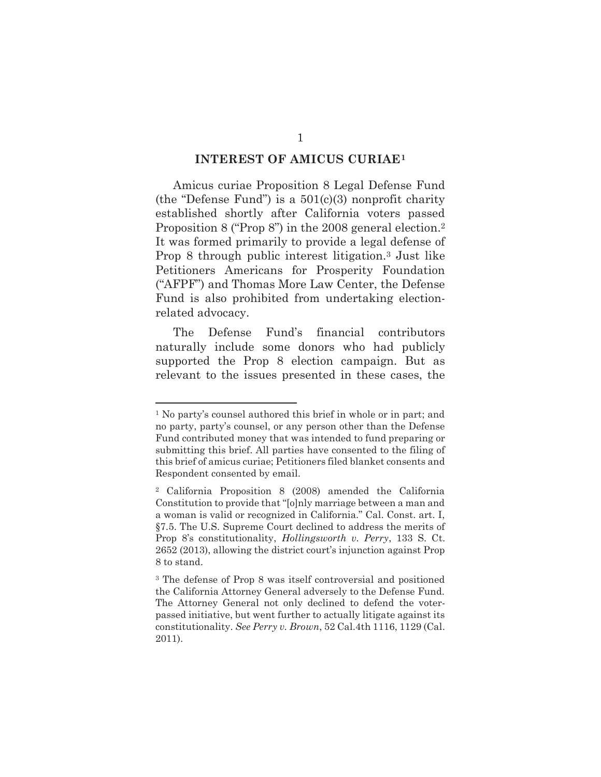#### **INTEREST OF AMICUS CURIAE1**

Amicus curiae Proposition 8 Legal Defense Fund (the "Defense Fund") is a  $501(c)(3)$  nonprofit charity established shortly after California voters passed Proposition 8 ("Prop 8") in the 2008 general election.<sup>2</sup> It was formed primarily to provide a legal defense of Prop 8 through public interest litigation.3 Just like Petitioners Americans for Prosperity Foundation ("AFPF") and Thomas More Law Center, the Defense Fund is also prohibited from undertaking electionrelated advocacy.

The Defense Fund's financial contributors naturally include some donors who had publicly supported the Prop 8 election campaign. But as relevant to the issues presented in these cases, the

<sup>1</sup> No party's counsel authored this brief in whole or in part; and no party, party's counsel, or any person other than the Defense Fund contributed money that was intended to fund preparing or submitting this brief. All parties have consented to the filing of this brief of amicus curiae; Petitioners filed blanket consents and Respondent consented by email.

<sup>2</sup> California Proposition 8 (2008) amended the California Constitution to provide that "[o]nly marriage between a man and a woman is valid or recognized in California." Cal. Const. art. I, §7.5. The U.S. Supreme Court declined to address the merits of Prop 8's constitutionality, *Hollingsworth v. Perry*, 133 S. Ct. 2652 (2013), allowing the district court's injunction against Prop 8 to stand.

<sup>3</sup> The defense of Prop 8 was itself controversial and positioned the California Attorney General adversely to the Defense Fund. The Attorney General not only declined to defend the voterpassed initiative, but went further to actually litigate against its constitutionality. *See Perry v. Brown*, 52 Cal.4th 1116, 1129 (Cal. 2011).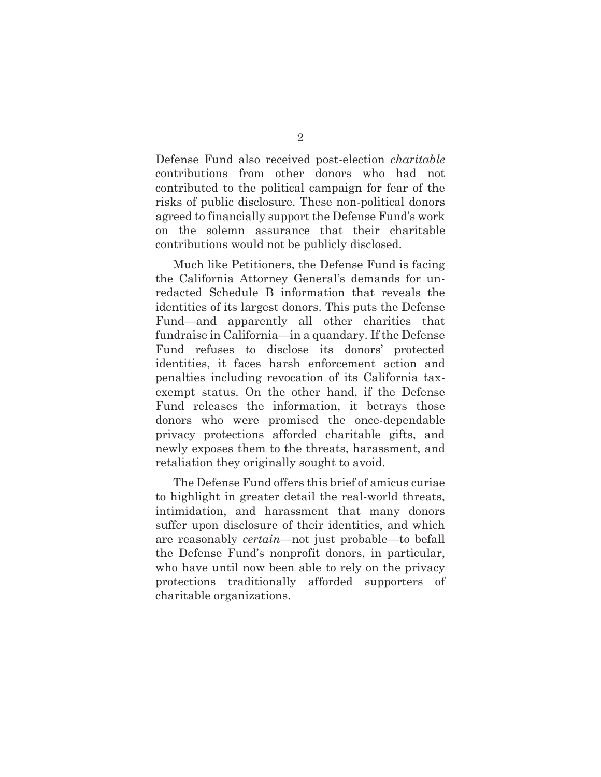Defense Fund also received post-election *charitable* contributions from other donors who had not contributed to the political campaign for fear of the risks of public disclosure. These non-political donors agreed to financially support the Defense Fund's work on the solemn assurance that their charitable contributions would not be publicly disclosed.

Much like Petitioners, the Defense Fund is facing the California Attorney General's demands for unredacted Schedule B information that reveals the identities of its largest donors. This puts the Defense Fund—and apparently all other charities that fundraise in California—in a quandary. If the Defense Fund refuses to disclose its donors' protected identities, it faces harsh enforcement action and penalties including revocation of its California taxexempt status. On the other hand, if the Defense Fund releases the information, it betrays those donors who were promised the once-dependable privacy protections afforded charitable gifts, and newly exposes them to the threats, harassment, and retaliation they originally sought to avoid.

The Defense Fund offers this brief of amicus curiae to highlight in greater detail the real-world threats, intimidation, and harassment that many donors suffer upon disclosure of their identities, and which are reasonably *certain*—not just probable—to befall the Defense Fund's nonprofit donors, in particular, who have until now been able to rely on the privacy protections traditionally afforded supporters of charitable organizations.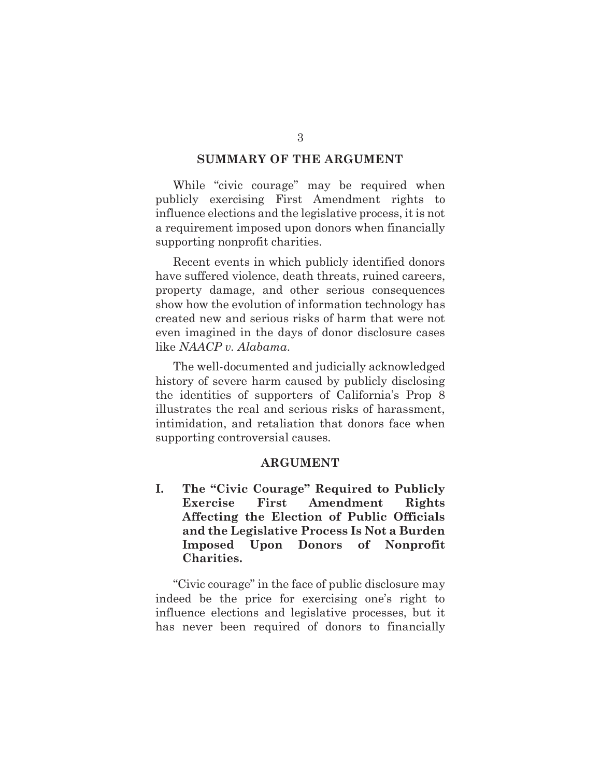#### **SUMMARY OF THE ARGUMENT**

While "civic courage" may be required when publicly exercising First Amendment rights to influence elections and the legislative process, it is not a requirement imposed upon donors when financially supporting nonprofit charities.

Recent events in which publicly identified donors have suffered violence, death threats, ruined careers, property damage, and other serious consequences show how the evolution of information technology has created new and serious risks of harm that were not even imagined in the days of donor disclosure cases like *NAACP v. Alabama*.

The well-documented and judicially acknowledged history of severe harm caused by publicly disclosing the identities of supporters of California's Prop 8 illustrates the real and serious risks of harassment, intimidation, and retaliation that donors face when supporting controversial causes.

#### **ARGUMENT**

**I. The "Civic Courage" Required to Publicly Exercise First Amendment Rights Affecting the Election of Public Officials and the Legislative Process Is Not a Burden Imposed Upon Donors of Nonprofit Charities.** 

"Civic courage" in the face of public disclosure may indeed be the price for exercising one's right to influence elections and legislative processes, but it has never been required of donors to financially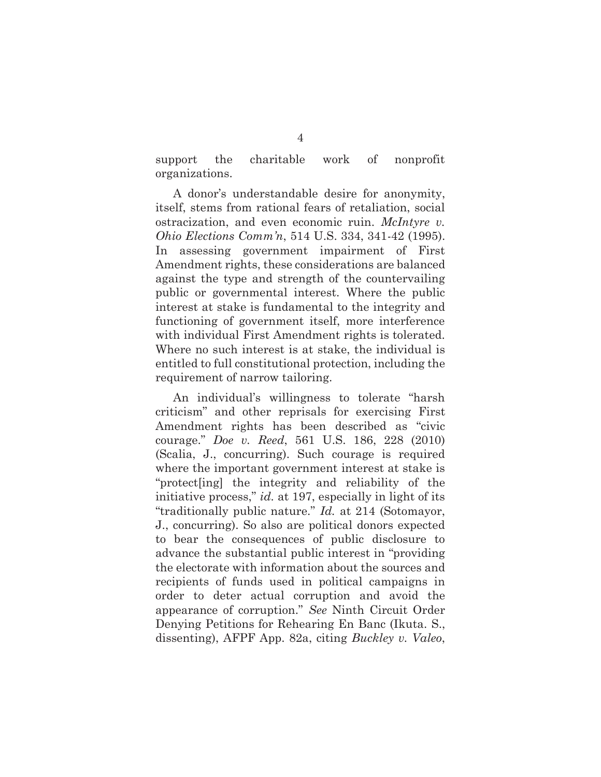support the charitable work of nonprofit organizations.

A donor's understandable desire for anonymity, itself, stems from rational fears of retaliation, social ostracization, and even economic ruin. *McIntyre v. Ohio Elections Comm'n*, 514 U.S. 334, 341-42 (1995). In assessing government impairment of First Amendment rights, these considerations are balanced against the type and strength of the countervailing public or governmental interest. Where the public interest at stake is fundamental to the integrity and functioning of government itself, more interference with individual First Amendment rights is tolerated. Where no such interest is at stake, the individual is entitled to full constitutional protection, including the requirement of narrow tailoring.

An individual's willingness to tolerate "harsh criticism" and other reprisals for exercising First Amendment rights has been described as "civic courage." *Doe v. Reed*, 561 U.S. 186, 228 (2010) (Scalia, J., concurring). Such courage is required where the important government interest at stake is "protect[ing] the integrity and reliability of the initiative process," *id.* at 197, especially in light of its "traditionally public nature." *Id.* at 214 (Sotomayor, J., concurring). So also are political donors expected to bear the consequences of public disclosure to advance the substantial public interest in "providing the electorate with information about the sources and recipients of funds used in political campaigns in order to deter actual corruption and avoid the appearance of corruption." *See* Ninth Circuit Order Denying Petitions for Rehearing En Banc (Ikuta. S., dissenting), AFPF App. 82a, citing *Buckley v. Valeo*,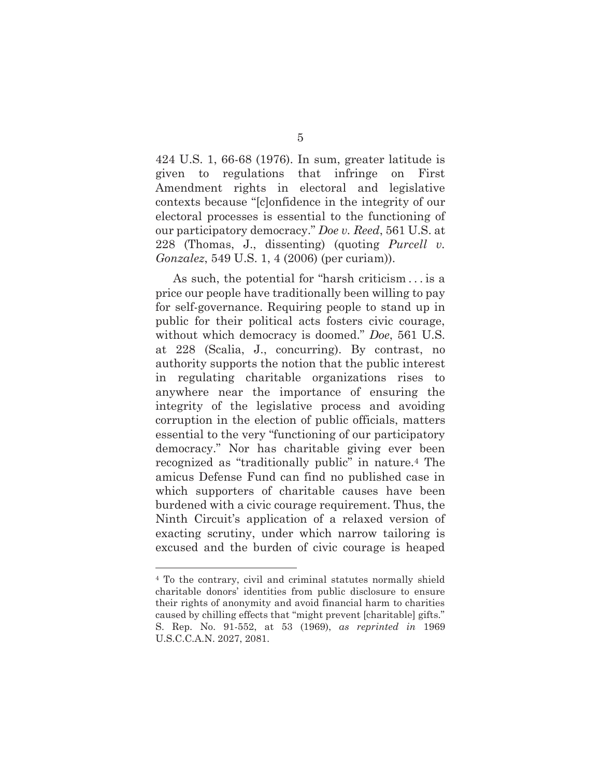424 U.S. 1, 66-68 (1976). In sum, greater latitude is given to regulations that infringe on First Amendment rights in electoral and legislative contexts because "[c]onfidence in the integrity of our electoral processes is essential to the functioning of our participatory democracy." *Doe v. Reed*, 561 U.S. at 228 (Thomas, J., dissenting) (quoting *Purcell v. Gonzalez*, 549 U.S. 1, 4 (2006) (per curiam)).

As such, the potential for "harsh criticism . . . is a price our people have traditionally been willing to pay for self-governance. Requiring people to stand up in public for their political acts fosters civic courage, without which democracy is doomed." *Doe*, 561 U.S. at 228 (Scalia, J., concurring). By contrast, no authority supports the notion that the public interest in regulating charitable organizations rises to anywhere near the importance of ensuring the integrity of the legislative process and avoiding corruption in the election of public officials, matters essential to the very "functioning of our participatory democracy." Nor has charitable giving ever been recognized as "traditionally public" in nature.4 The amicus Defense Fund can find no published case in which supporters of charitable causes have been burdened with a civic courage requirement. Thus, the Ninth Circuit's application of a relaxed version of exacting scrutiny, under which narrow tailoring is excused and the burden of civic courage is heaped

<sup>4</sup> To the contrary, civil and criminal statutes normally shield charitable donors' identities from public disclosure to ensure their rights of anonymity and avoid financial harm to charities caused by chilling effects that "might prevent [charitable] gifts." S. Rep. No. 91-552, at 53 (1969), *as reprinted in* 1969 U.S.C.C.A.N. 2027, 2081.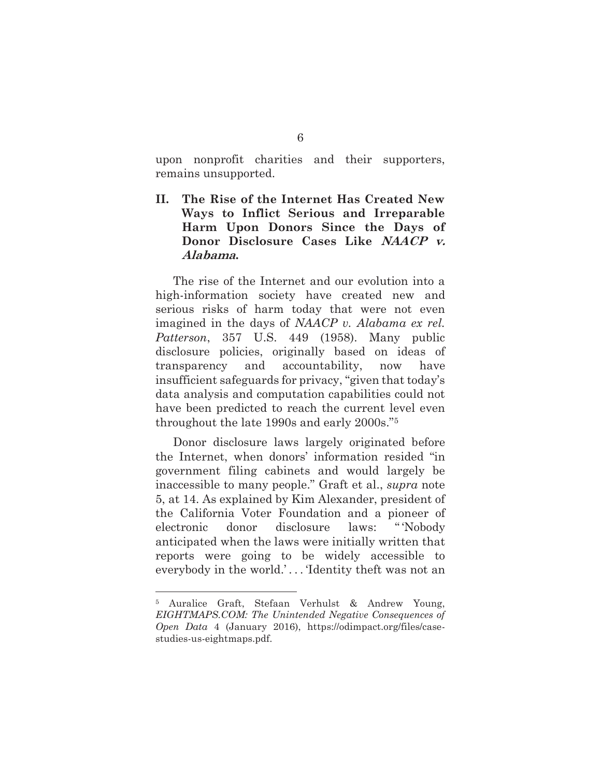upon nonprofit charities and their supporters, remains unsupported.

**II. The Rise of the Internet Has Created New Ways to Inflict Serious and Irreparable Harm Upon Donors Since the Days of Donor Disclosure Cases Like NAACP v. Alabama.** 

The rise of the Internet and our evolution into a high-information society have created new and serious risks of harm today that were not even imagined in the days of *NAACP v. Alabama ex rel. Patterson*, 357 U.S. 449 (1958). Many public disclosure policies, originally based on ideas of transparency and accountability, now have insufficient safeguards for privacy, "given that today's data analysis and computation capabilities could not have been predicted to reach the current level even throughout the late 1990s and early 2000s."5

Donor disclosure laws largely originated before the Internet, when donors' information resided "in government filing cabinets and would largely be inaccessible to many people." Graft et al., *supra* note 5, at 14. As explained by Kim Alexander, president of the California Voter Foundation and a pioneer of electronic donor disclosure laws: " 'Nobody anticipated when the laws were initially written that reports were going to be widely accessible to everybody in the world.'...'Identity theft was not an

<sup>5</sup> Auralice Graft, Stefaan Verhulst & Andrew Young, *EIGHTMAPS.COM: The Unintended Negative Consequences of Open Data* 4 (January 2016), https://odimpact.org/files/casestudies-us-eightmaps.pdf.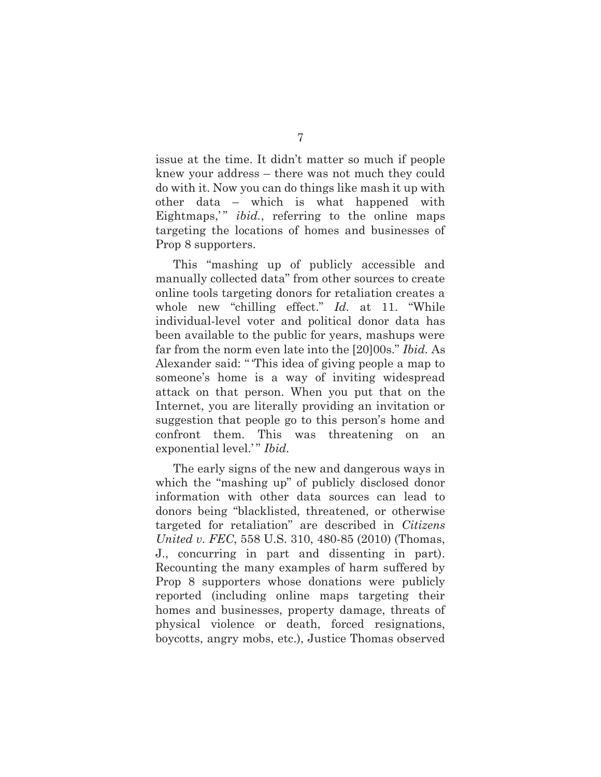issue at the time. It didn't matter so much if people knew your address – there was not much they could do with it. Now you can do things like mash it up with other data – which is what happened with Eightmaps," *ibid.*, referring to the online maps targeting the locations of homes and businesses of Prop 8 supporters.

This "mashing up of publicly accessible and manually collected data" from other sources to create online tools targeting donors for retaliation creates a whole new "chilling effect." *Id.* at 11. "While individual-level voter and political donor data has been available to the public for years, mashups were far from the norm even late into the [20]00s." *Ibid.* As Alexander said: " 'This idea of giving people a map to someone's home is a way of inviting widespread attack on that person. When you put that on the Internet, you are literally providing an invitation or suggestion that people go to this person's home and confront them. This was threatening on an exponential level.'" *Ibid.* 

The early signs of the new and dangerous ways in which the "mashing up" of publicly disclosed donor information with other data sources can lead to donors being "blacklisted, threatened, or otherwise targeted for retaliation" are described in *Citizens United v. FEC*, 558 U.S. 310, 480-85 (2010) (Thomas, J., concurring in part and dissenting in part). Recounting the many examples of harm suffered by Prop 8 supporters whose donations were publicly reported (including online maps targeting their homes and businesses, property damage, threats of physical violence or death, forced resignations, boycotts, angry mobs, etc.), Justice Thomas observed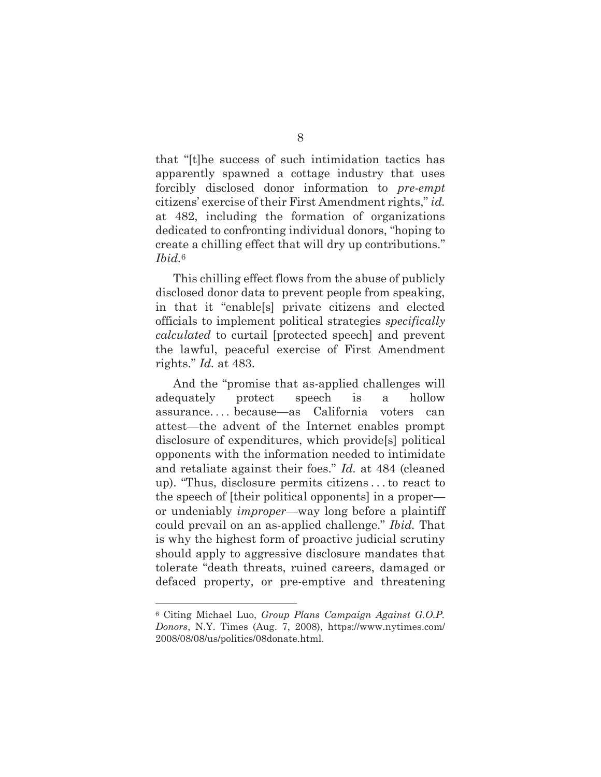that "[t]he success of such intimidation tactics has apparently spawned a cottage industry that uses forcibly disclosed donor information to *pre-empt* citizens' exercise of their First Amendment rights," *id.* at 482, including the formation of organizations dedicated to confronting individual donors, "hoping to create a chilling effect that will dry up contributions." *Ibid.*<sup>6</sup>

This chilling effect flows from the abuse of publicly disclosed donor data to prevent people from speaking, in that it "enable[s] private citizens and elected officials to implement political strategies *specifically calculated* to curtail [protected speech] and prevent the lawful, peaceful exercise of First Amendment rights." *Id.* at 483.

And the "promise that as-applied challenges will adequately protect speech is a hollow assurance. . . .  because—as California voters can attest—the advent of the Internet enables prompt disclosure of expenditures, which provide[s] political opponents with the information needed to intimidate and retaliate against their foes." *Id.* at 484 (cleaned up). "Thus, disclosure permits citizens . . . to react to the speech of [their political opponents] in a proper or undeniably *improper*—way long before a plaintiff could prevail on an as-applied challenge." *Ibid.* That is why the highest form of proactive judicial scrutiny should apply to aggressive disclosure mandates that tolerate "death threats, ruined careers, damaged or defaced property, or pre-emptive and threatening

<sup>6</sup> Citing Michael Luo, *Group Plans Campaign Against G.O.P. Donors*, N.Y. Times (Aug. 7, 2008), https://www.nytimes.com/ 2008/08/08/us/politics/08donate.html.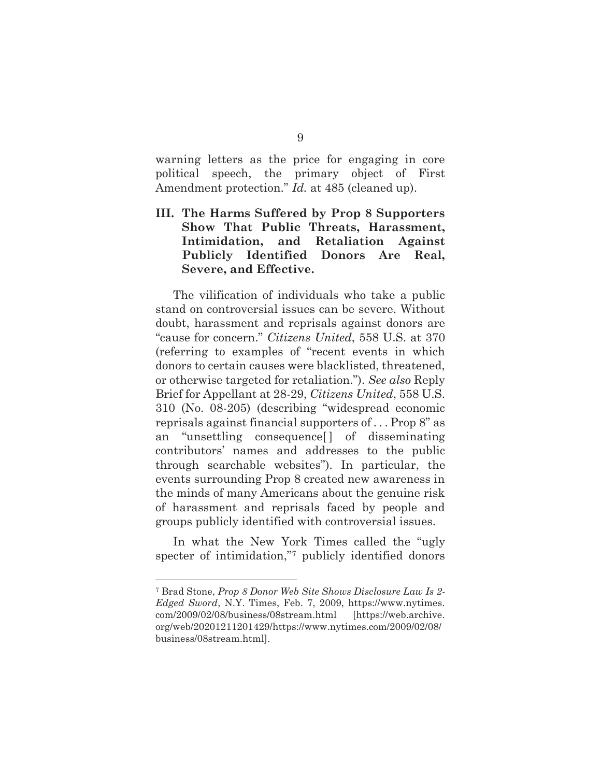warning letters as the price for engaging in core political speech, the primary object of First Amendment protection." *Id.* at 485 (cleaned up).

### **III. The Harms Suffered by Prop 8 Supporters Show That Public Threats, Harassment, Intimidation, and Retaliation Against Publicly Identified Donors Are Real, Severe, and Effective.**

The vilification of individuals who take a public stand on controversial issues can be severe. Without doubt, harassment and reprisals against donors are "cause for concern." *Citizens United*, 558 U.S. at 370 (referring to examples of "recent events in which donors to certain causes were blacklisted, threatened, or otherwise targeted for retaliation."). *See also* Reply Brief for Appellant at 28-29, *Citizens United*, 558 U.S. 310 (No. 08-205) (describing "widespread economic reprisals against financial supporters of . . . Prop 8" as an "unsettling consequence[ ] of disseminating contributors' names and addresses to the public through searchable websites"). In particular, the events surrounding Prop 8 created new awareness in the minds of many Americans about the genuine risk of harassment and reprisals faced by people and groups publicly identified with controversial issues.

In what the New York Times called the "ugly specter of intimidation,"<sup>7</sup> publicly identified donors

<sup>7</sup> Brad Stone, *Prop 8 Donor Web Site Shows Disclosure Law Is 2- Edged Sword*, N.Y. Times, Feb. 7, 2009, https://www.nytimes. com/2009/02/08/business/08stream.html [https://web.archive. org/web/20201211201429/https://www.nytimes.com/2009/02/08/ business/08stream.html].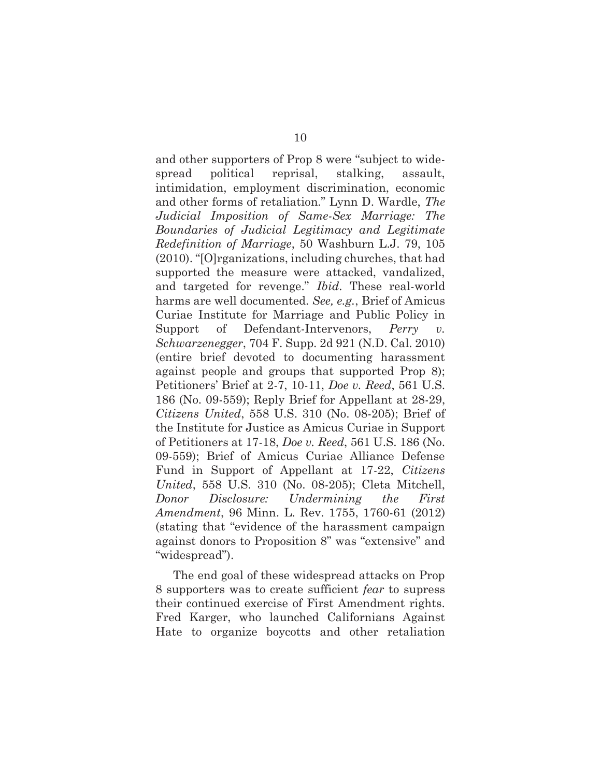and other supporters of Prop 8 were "subject to widespread political reprisal, stalking, assault, intimidation, employment discrimination, economic and other forms of retaliation." Lynn D. Wardle, *The Judicial Imposition of Same-Sex Marriage: The Boundaries of Judicial Legitimacy and Legitimate Redefinition of Marriage*, 50 Washburn L.J. 79, 105 (2010). "[O]rganizations, including churches, that had supported the measure were attacked, vandalized, and targeted for revenge." *Ibid*. These real-world harms are well documented. *See, e.g.*, Brief of Amicus Curiae Institute for Marriage and Public Policy in Support of Defendant-Intervenors, *Perry v. Schwarzenegger*, 704 F. Supp. 2d 921 (N.D. Cal. 2010) (entire brief devoted to documenting harassment against people and groups that supported Prop 8); Petitioners' Brief at 2-7, 10-11, *Doe v. Reed*, 561 U.S. 186 (No. 09-559); Reply Brief for Appellant at 28-29, *Citizens United*, 558 U.S. 310 (No. 08-205); Brief of the Institute for Justice as Amicus Curiae in Support of Petitioners at 17-18, *Doe v. Reed*, 561 U.S. 186 (No. 09-559); Brief of Amicus Curiae Alliance Defense Fund in Support of Appellant at 17-22, *Citizens United*, 558 U.S. 310 (No. 08-205); Cleta Mitchell, *Donor Disclosure: Undermining the First Amendment*, 96 Minn. L. Rev. 1755, 1760-61 (2012) (stating that "evidence of the harassment campaign against donors to Proposition 8" was "extensive" and "widespread").

The end goal of these widespread attacks on Prop 8 supporters was to create sufficient *fear* to supress their continued exercise of First Amendment rights. Fred Karger, who launched Californians Against Hate to organize boycotts and other retaliation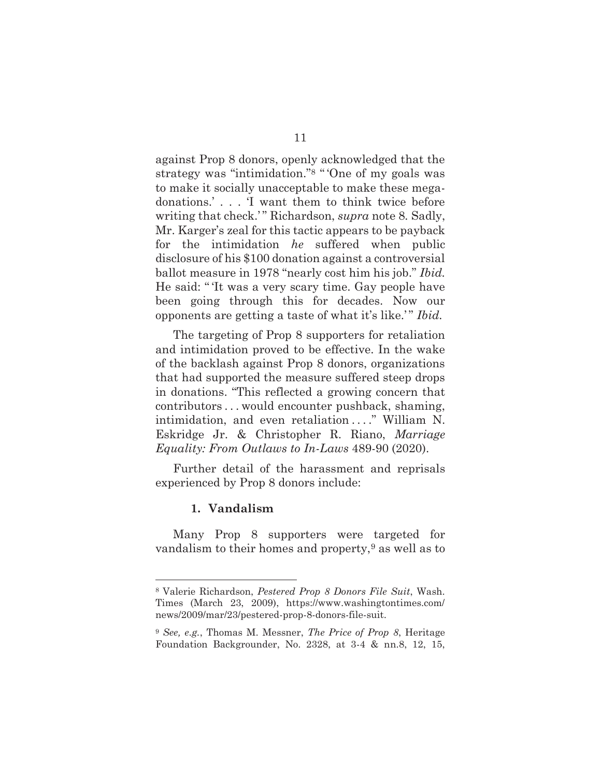against Prop 8 donors, openly acknowledged that the strategy was "intimidation."8 " 'One of my goals was to make it socially unacceptable to make these megadonations.' . . . 'I want them to think twice before writing that check.'" Richardson, *supra* note 8. Sadly, Mr. Karger's zeal for this tactic appears to be payback for the intimidation *he* suffered when public disclosure of his \$100 donation against a controversial ballot measure in 1978 "nearly cost him his job." *Ibid.* He said: " 'It was a very scary time. Gay people have been going through this for decades. Now our opponents are getting a taste of what it's like.'" *Ibid.*

The targeting of Prop 8 supporters for retaliation and intimidation proved to be effective. In the wake of the backlash against Prop 8 donors, organizations that had supported the measure suffered steep drops in donations. "This reflected a growing concern that contributors . . . would encounter pushback, shaming, intimidation, and even retaliation . . . ." William N. Eskridge Jr. & Christopher R. Riano, *Marriage Equality: From Outlaws to In-Laws* 489-90 (2020).

Further detail of the harassment and reprisals experienced by Prop 8 donors include:

#### **1. Vandalism**

Many Prop 8 supporters were targeted for vandalism to their homes and property, $9$  as well as to

<sup>8</sup> Valerie Richardson, *Pestered Prop 8 Donors File Suit*, Wash. Times (March 23, 2009), https://www.washingtontimes.com/ news/2009/mar/23/pestered-prop-8-donors-file-suit.

<sup>9</sup> *See, e.g.*, Thomas M. Messner, *The Price of Prop 8*, Heritage Foundation Backgrounder, No. 2328, at 3-4 & nn.8, 12, 15,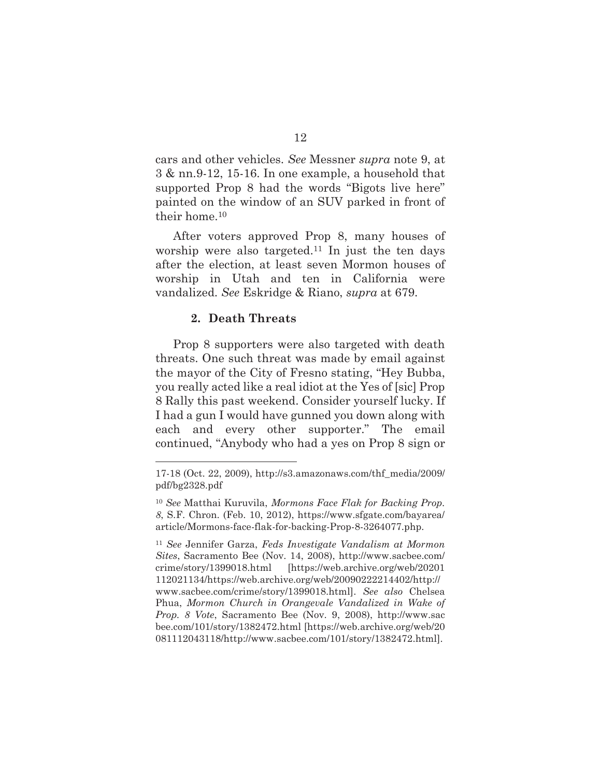cars and other vehicles. *See* Messner *supra* note 9, at 3 & nn.9-12, 15-16. In one example, a household that supported Prop 8 had the words "Bigots live here" painted on the window of an SUV parked in front of their home.10

After voters approved Prop 8, many houses of worship were also targeted.<sup>11</sup> In just the ten days after the election, at least seven Mormon houses of worship in Utah and ten in California were vandalized. *See* Eskridge & Riano, *supra* at 679.

#### **2. Death Threats**

Prop 8 supporters were also targeted with death threats. One such threat was made by email against the mayor of the City of Fresno stating, "Hey Bubba, you really acted like a real idiot at the Yes of [sic] Prop 8 Rally this past weekend. Consider yourself lucky. If I had a gun I would have gunned you down along with each and every other supporter." The email continued, "Anybody who had a yes on Prop 8 sign or

<sup>17-18 (</sup>Oct. 22, 2009), http://s3.amazonaws.com/thf\_media/2009/ pdf/bg2328.pdf

<sup>10</sup> *See* Matthai Kuruvila, *Mormons Face Flak for Backing Prop. 8*, S.F. Chron. (Feb. 10, 2012), https://www.sfgate.com/bayarea/ article/Mormons-face-flak-for-backing-Prop-8-3264077.php.

<sup>11</sup> *See* Jennifer Garza, *Feds Investigate Vandalism at Mormon Sites*, Sacramento Bee (Nov. 14, 2008), http://www.sacbee.com/ crime/story/1399018.html [https://web.archive.org/web/20201 112021134/https://web.archive.org/web/20090222214402/http:// www.sacbee.com/crime/story/1399018.html]. *See also* Chelsea Phua, *Mormon Church in Orangevale Vandalized in Wake of Prop. 8 Vote*, Sacramento Bee (Nov. 9, 2008), http://www.sac bee.com/101/story/1382472.html [https://web.archive.org/web/20 081112043118/http://www.sacbee.com/101/story/1382472.html].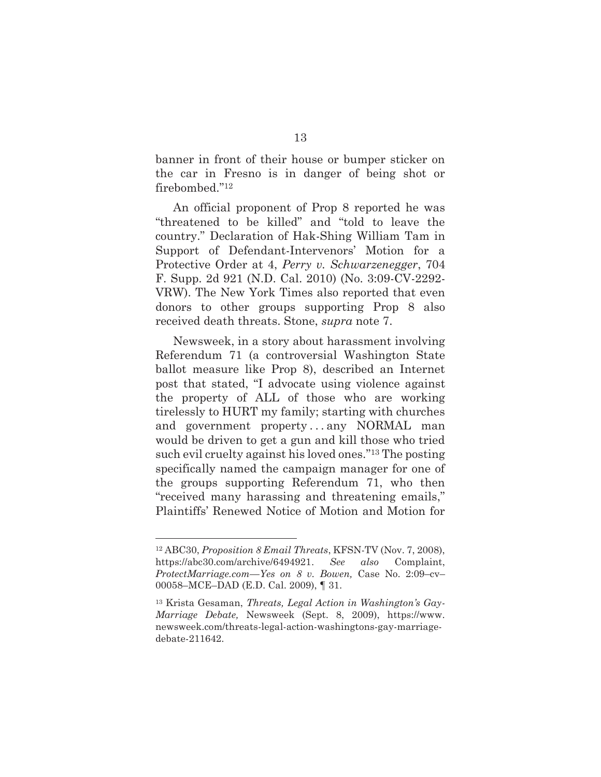banner in front of their house or bumper sticker on the car in Fresno is in danger of being shot or firebombed."12

An official proponent of Prop 8 reported he was "threatened to be killed" and "told to leave the country." Declaration of Hak-Shing William Tam in Support of Defendant-Intervenors' Motion for a Protective Order at 4, *Perry v. Schwarzenegger*, 704 F. Supp. 2d 921 (N.D. Cal. 2010) (No. 3:09-CV-2292- VRW). The New York Times also reported that even donors to other groups supporting Prop 8 also received death threats. Stone, *supra* note 7.

Newsweek, in a story about harassment involving Referendum 71 (a controversial Washington State ballot measure like Prop 8), described an Internet post that stated, "I advocate using violence against the property of ALL of those who are working tirelessly to HURT my family; starting with churches and government property...any NORMAL man would be driven to get a gun and kill those who tried such evil cruelty against his loved ones."13 The posting specifically named the campaign manager for one of the groups supporting Referendum 71, who then "received many harassing and threatening emails," Plaintiffs' Renewed Notice of Motion and Motion for

<sup>12</sup> ABC30, *Proposition 8 Email Threats*, KFSN-TV (Nov. 7, 2008), https://abc30.com/archive/6494921. *See also* Complaint, *ProtectMarriage.com—Yes on 8 v. Bowen,* Case No. 2:09–cv– 00058–MCE–DAD (E.D. Cal. 2009), ¶ 31.

<sup>13</sup> Krista Gesaman, *Threats, Legal Action in Washington's Gay-Marriage Debate,* Newsweek (Sept. 8, 2009), https://www. newsweek.com/threats-legal-action-washingtons-gay-marriagedebate-211642.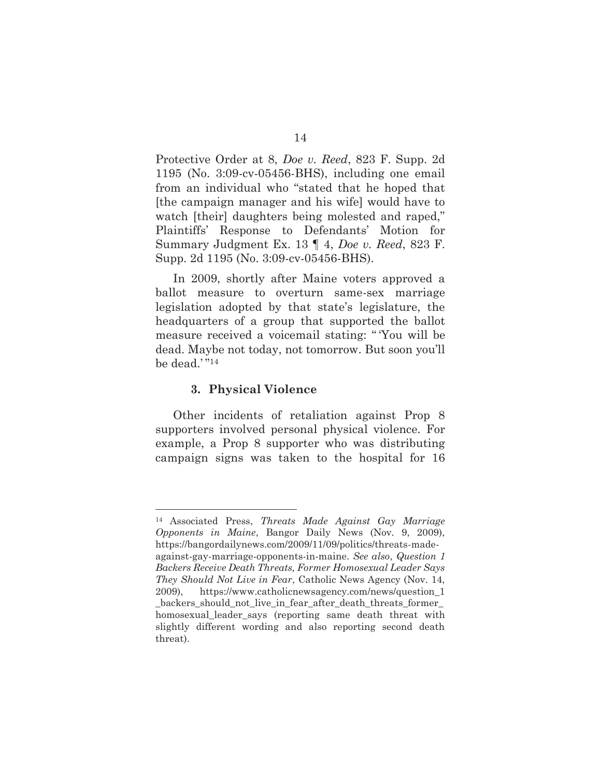Protective Order at 8, *Doe v. Reed*, 823 F. Supp. 2d 1195 (No. 3:09-cv-05456-BHS), including one email from an individual who "stated that he hoped that [the campaign manager and his wife] would have to watch [their] daughters being molested and raped," Plaintiffs' Response to Defendants' Motion for Summary Judgment Ex. 13 ¶ 4, *Doe v. Reed*, 823 F. Supp. 2d 1195 (No. 3:09-cv-05456-BHS).

In 2009, shortly after Maine voters approved a ballot measure to overturn same-sex marriage legislation adopted by that state's legislature, the headquarters of a group that supported the ballot measure received a voicemail stating: " 'You will be dead. Maybe not today, not tomorrow. But soon you'll be dead.'"<sup>14</sup>

#### **3. Physical Violence**

Other incidents of retaliation against Prop 8 supporters involved personal physical violence. For example, a Prop 8 supporter who was distributing campaign signs was taken to the hospital for 16

<sup>14</sup> Associated Press, *Threats Made Against Gay Marriage Opponents in Maine*, Bangor Daily News (Nov. 9, 2009), https://bangordailynews.com/2009/11/09/politics/threats-madeagainst-gay-marriage-opponents-in-maine. *See also*, *Question 1 Backers Receive Death Threats, Former Homosexual Leader Says They Should Not Live in Fear*, Catholic News Agency (Nov. 14, 2009), https://www.catholicnewsagency.com/news/question\_1 backers should not live in fear after death threats former homosexual\_leader\_says (reporting same death threat with slightly different wording and also reporting second death threat).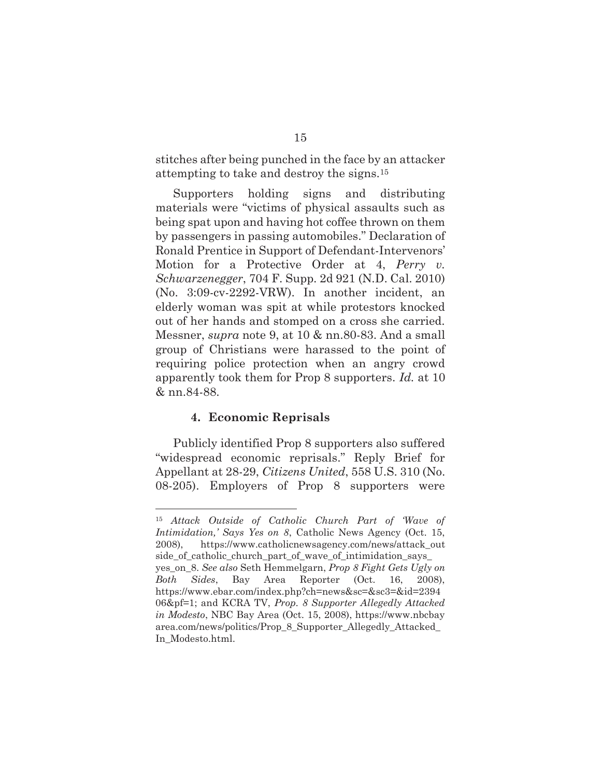stitches after being punched in the face by an attacker attempting to take and destroy the signs.15

Supporters holding signs and distributing materials were "victims of physical assaults such as being spat upon and having hot coffee thrown on them by passengers in passing automobiles." Declaration of Ronald Prentice in Support of Defendant-Intervenors' Motion for a Protective Order at 4, *Perry v. Schwarzenegger*, 704 F. Supp. 2d 921 (N.D. Cal. 2010) (No. 3:09-cv-2292-VRW). In another incident, an elderly woman was spit at while protestors knocked out of her hands and stomped on a cross she carried. Messner, *supra* note 9, at 10 & nn.80-83. And a small group of Christians were harassed to the point of requiring police protection when an angry crowd apparently took them for Prop 8 supporters. *Id.* at 10 & nn.84-88.

#### **4. Economic Reprisals**

Publicly identified Prop 8 supporters also suffered "widespread economic reprisals." Reply Brief for Appellant at 28-29, *Citizens United*, 558 U.S. 310 (No. 08-205). Employers of Prop 8 supporters were

<sup>15</sup> *Attack Outside of Catholic Church Part of 'Wave of Intimidation,' Says Yes on 8*, Catholic News Agency (Oct. 15, 2008), https://www.catholicnewsagency.com/news/attack\_out side\_of\_catholic\_church\_part\_of\_wave\_of\_intimidation\_says\_ yes\_on\_8. *See also* Seth Hemmelgarn, *Prop 8 Fight Gets Ugly on Both Sides*, Bay Area Reporter (Oct. 16, 2008), https://www.ebar.com/index.php?ch=news&sc=&sc3=&id=2394 06&pf=1; and KCRA TV, *Prop. 8 Supporter Allegedly Attacked in Modesto*, NBC Bay Area (Oct. 15, 2008), https://www.nbcbay area.com/news/politics/Prop\_8\_Supporter\_Allegedly\_Attacked\_ In\_Modesto.html.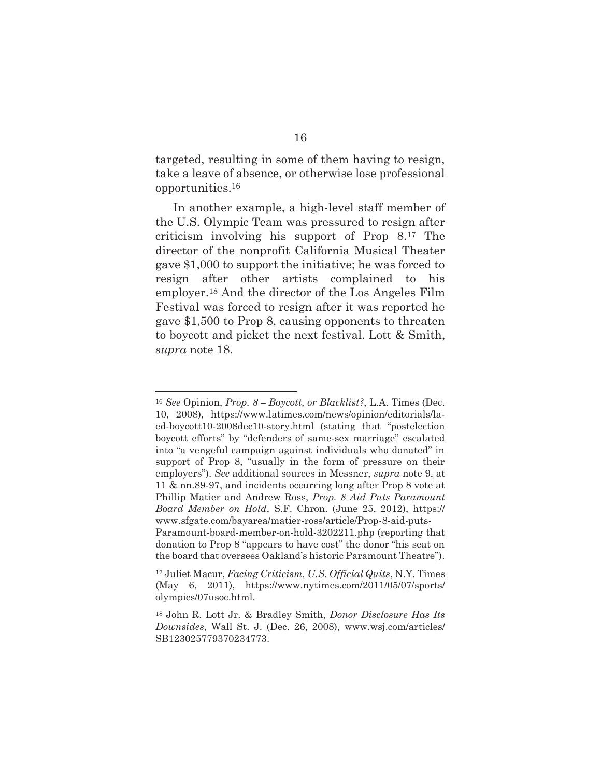targeted, resulting in some of them having to resign, take a leave of absence, or otherwise lose professional opportunities.16

In another example, a high-level staff member of the U.S. Olympic Team was pressured to resign after criticism involving his support of Prop 8.17 The director of the nonprofit California Musical Theater gave \$1,000 to support the initiative; he was forced to resign after other artists complained to his employer.18 And the director of the Los Angeles Film Festival was forced to resign after it was reported he gave \$1,500 to Prop 8, causing opponents to threaten to boycott and picket the next festival. Lott & Smith, *supra* note 18.

<sup>16</sup> *See* Opinion, *Prop. 8 – Boycott, or Blacklist?*, L.A. Times (Dec. 10, 2008), https://www.latimes.com/news/opinion/editorials/laed-boycott10-2008dec10-story.html (stating that "postelection boycott efforts" by "defenders of same-sex marriage" escalated into "a vengeful campaign against individuals who donated" in support of Prop 8, "usually in the form of pressure on their employers"). *See* additional sources in Messner, *supra* note 9, at 11 & nn.89-97, and incidents occurring long after Prop 8 vote at Phillip Matier and Andrew Ross, *Prop. 8 Aid Puts Paramount Board Member on Hold*, S.F. Chron. (June 25, 2012), https:// www.sfgate.com/bayarea/matier-ross/article/Prop-8-aid-puts-Paramount-board-member-on-hold-3202211.php (reporting that donation to Prop 8 "appears to have cost" the donor "his seat on the board that oversees Oakland's historic Paramount Theatre").

<sup>17</sup> Juliet Macur, *Facing Criticism, U.S. Official Quits*, N.Y. Times (May 6, 2011), https://www.nytimes.com/2011/05/07/sports/ olympics/07usoc.html.

<sup>18</sup> John R. Lott Jr. & Bradley Smith, *Donor Disclosure Has Its Downsides*, Wall St. J. (Dec. 26, 2008), www.wsj.com/articles/ SB123025779370234773.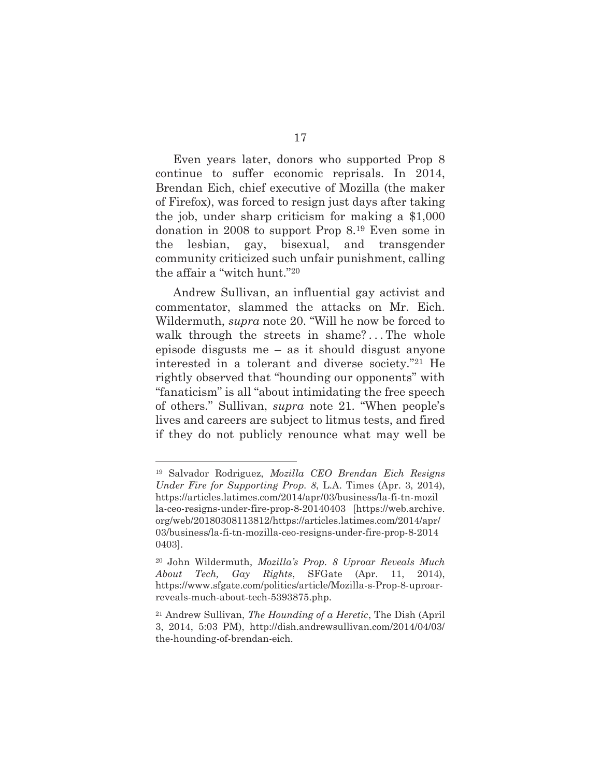Even years later, donors who supported Prop 8 continue to suffer economic reprisals. In 2014, Brendan Eich, chief executive of Mozilla (the maker of Firefox), was forced to resign just days after taking the job, under sharp criticism for making a \$1,000 donation in 2008 to support Prop 8.19 Even some in the lesbian, gay, bisexual, and transgender community criticized such unfair punishment, calling the affair a "witch hunt."20

Andrew Sullivan, an influential gay activist and commentator, slammed the attacks on Mr. Eich. Wildermuth, *supra* note 20. "Will he now be forced to walk through the streets in shame?...The whole episode disgusts me – as it should disgust anyone interested in a tolerant and diverse society."21 He rightly observed that "hounding our opponents" with "fanaticism" is all "about intimidating the free speech of others." Sullivan, *supra* note 21. "When people's lives and careers are subject to litmus tests, and fired if they do not publicly renounce what may well be

<sup>19</sup> Salvador Rodriguez, *Mozilla CEO Brendan Eich Resigns Under Fire for Supporting Prop. 8*, L.A. Times (Apr. 3, 2014), https://articles.latimes.com/2014/apr/03/business/la-fi-tn-mozil la-ceo-resigns-under-fire-prop-8-20140403 [https://web.archive. org/web/20180308113812/https://articles.latimes.com/2014/apr/ 03/business/la-fi-tn-mozilla-ceo-resigns-under-fire-prop-8-2014 0403].

<sup>20</sup> John Wildermuth, *Mozilla's Prop. 8 Uproar Reveals Much About Tech, Gay Rights*, SFGate (Apr. 11, 2014), https://www.sfgate.com/politics/article/Mozilla-s-Prop-8-uproarreveals-much-about-tech-5393875.php.

<sup>21</sup> Andrew Sullivan, *The Hounding of a Heretic*, The Dish (April 3, 2014, 5:03 PM), http://dish.andrewsullivan.com/2014/04/03/ the-hounding-of-brendan-eich.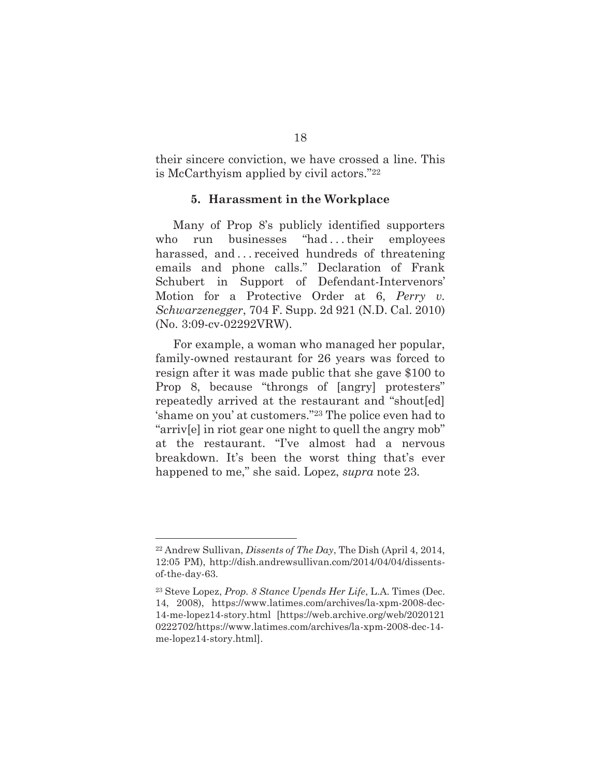their sincere conviction, we have crossed a line. This is McCarthyism applied by civil actors."22

#### **5. Harassment in the Workplace**

Many of Prop 8's publicly identified supporters who run businesses "had...their employees harassed, and ... received hundreds of threatening emails and phone calls." Declaration of Frank Schubert in Support of Defendant-Intervenors' Motion for a Protective Order at 6, *Perry v. Schwarzenegger*, 704 F. Supp. 2d 921 (N.D. Cal. 2010) (No. 3:09-cv-02292VRW).

For example, a woman who managed her popular, family-owned restaurant for 26 years was forced to resign after it was made public that she gave \$100 to Prop 8, because "throngs of [angry] protesters" repeatedly arrived at the restaurant and "shout[ed] 'shame on you' at customers."23 The police even had to "arriv[e] in riot gear one night to quell the angry mob" at the restaurant. "I've almost had a nervous breakdown. It's been the worst thing that's ever happened to me," she said. Lopez, *supra* note 23*.*

<sup>22</sup> Andrew Sullivan, *Dissents of The Day*, The Dish (April 4, 2014, 12:05 PM), http://dish.andrewsullivan.com/2014/04/04/dissentsof-the-day-63.

<sup>23</sup> Steve Lopez, *Prop. 8 Stance Upends Her Life*, L.A. Times (Dec. 14, 2008), https://www.latimes.com/archives/la-xpm-2008-dec-14-me-lopez14-story.html [https://web.archive.org/web/2020121 0222702/https://www.latimes.com/archives/la-xpm-2008-dec-14 me-lopez14-story.html].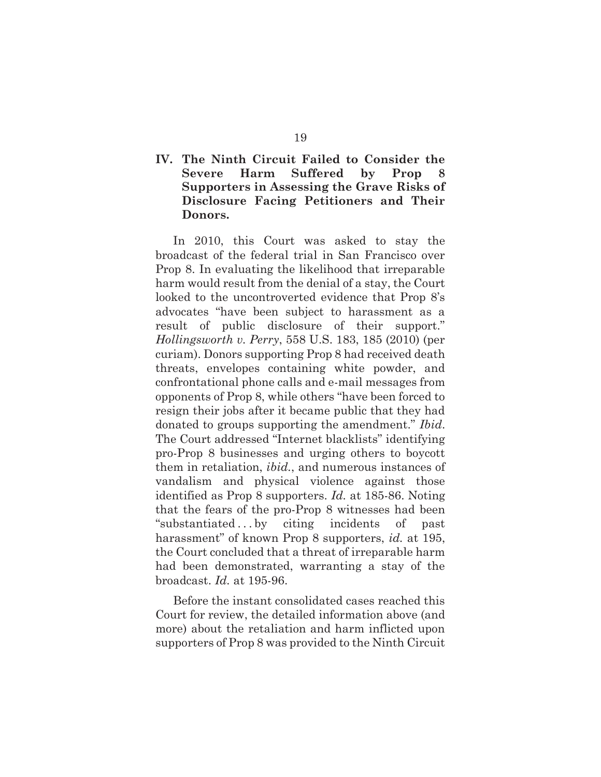### **IV. The Ninth Circuit Failed to Consider the Severe Harm Suffered by Prop 8 Supporters in Assessing the Grave Risks of Disclosure Facing Petitioners and Their Donors.**

In 2010, this Court was asked to stay the broadcast of the federal trial in San Francisco over Prop 8. In evaluating the likelihood that irreparable harm would result from the denial of a stay, the Court looked to the uncontroverted evidence that Prop 8's advocates "have been subject to harassment as a result of public disclosure of their support." *Hollingsworth v. Perry*, 558 U.S. 183, 185 (2010) (per curiam). Donors supporting Prop 8 had received death threats, envelopes containing white powder, and confrontational phone calls and e-mail messages from opponents of Prop 8, while others "have been forced to resign their jobs after it became public that they had donated to groups supporting the amendment." *Ibid*. The Court addressed "Internet blacklists" identifying pro-Prop 8 businesses and urging others to boycott them in retaliation, *ibid.*, and numerous instances of vandalism and physical violence against those identified as Prop 8 supporters. *Id.* at 185-86. Noting that the fears of the pro-Prop 8 witnesses had been "substantiated . . . by citing incidents of past harassment" of known Prop 8 supporters, *id.* at 195, the Court concluded that a threat of irreparable harm had been demonstrated, warranting a stay of the broadcast. *Id.* at 195-96.

Before the instant consolidated cases reached this Court for review, the detailed information above (and more) about the retaliation and harm inflicted upon supporters of Prop 8 was provided to the Ninth Circuit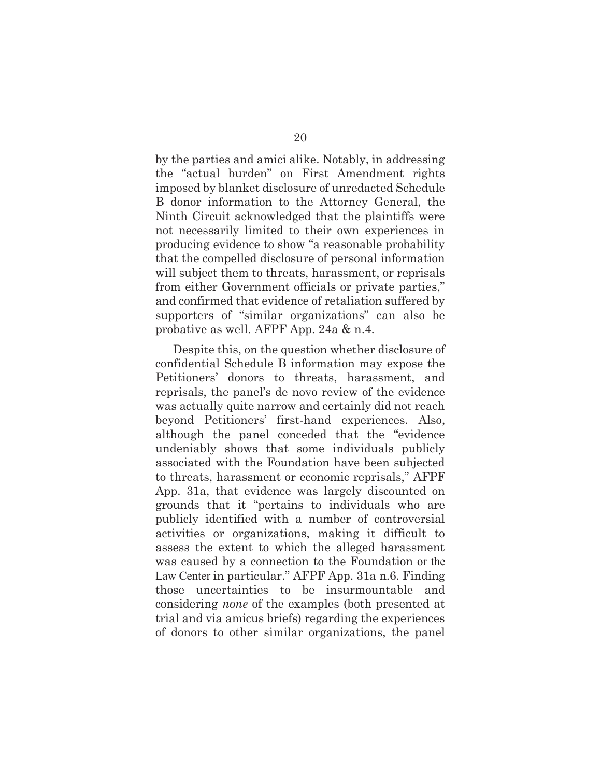by the parties and amici alike. Notably, in addressing the "actual burden" on First Amendment rights imposed by blanket disclosure of unredacted Schedule B donor information to the Attorney General, the Ninth Circuit acknowledged that the plaintiffs were not necessarily limited to their own experiences in producing evidence to show "a reasonable probability that the compelled disclosure of personal information will subject them to threats, harassment, or reprisals from either Government officials or private parties," and confirmed that evidence of retaliation suffered by supporters of "similar organizations" can also be probative as well. AFPF App. 24a & n.4.

Despite this, on the question whether disclosure of confidential Schedule B information may expose the Petitioners' donors to threats, harassment, and reprisals, the panel's de novo review of the evidence was actually quite narrow and certainly did not reach beyond Petitioners' first-hand experiences. Also, although the panel conceded that the "evidence undeniably shows that some individuals publicly associated with the Foundation have been subjected to threats, harassment or economic reprisals," AFPF App. 31a, that evidence was largely discounted on grounds that it "pertains to individuals who are publicly identified with a number of controversial activities or organizations, making it difficult to assess the extent to which the alleged harassment was caused by a connection to the Foundation or the Law Center in particular." AFPF App. 31a n.6. Finding those uncertainties to be insurmountable and considering *none* of the examples (both presented at trial and via amicus briefs) regarding the experiences of donors to other similar organizations, the panel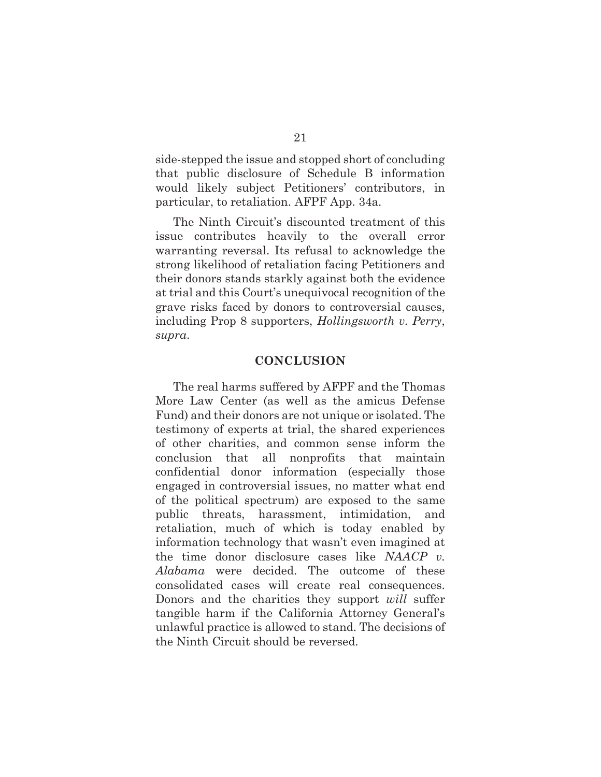side-stepped the issue and stopped short of concluding that public disclosure of Schedule B information would likely subject Petitioners' contributors, in particular, to retaliation. AFPF App. 34a.

The Ninth Circuit's discounted treatment of this issue contributes heavily to the overall error warranting reversal. Its refusal to acknowledge the strong likelihood of retaliation facing Petitioners and their donors stands starkly against both the evidence at trial and this Court's unequivocal recognition of the grave risks faced by donors to controversial causes, including Prop 8 supporters, *Hollingsworth v. Perry*, *supra*.

#### **CONCLUSION**

The real harms suffered by AFPF and the Thomas More Law Center (as well as the amicus Defense Fund) and their donors are not unique or isolated. The testimony of experts at trial, the shared experiences of other charities, and common sense inform the conclusion that all nonprofits that maintain confidential donor information (especially those engaged in controversial issues, no matter what end of the political spectrum) are exposed to the same public threats, harassment, intimidation, and retaliation, much of which is today enabled by information technology that wasn't even imagined at the time donor disclosure cases like *NAACP v. Alabama* were decided. The outcome of these consolidated cases will create real consequences. Donors and the charities they support *will* suffer tangible harm if the California Attorney General's unlawful practice is allowed to stand. The decisions of the Ninth Circuit should be reversed.